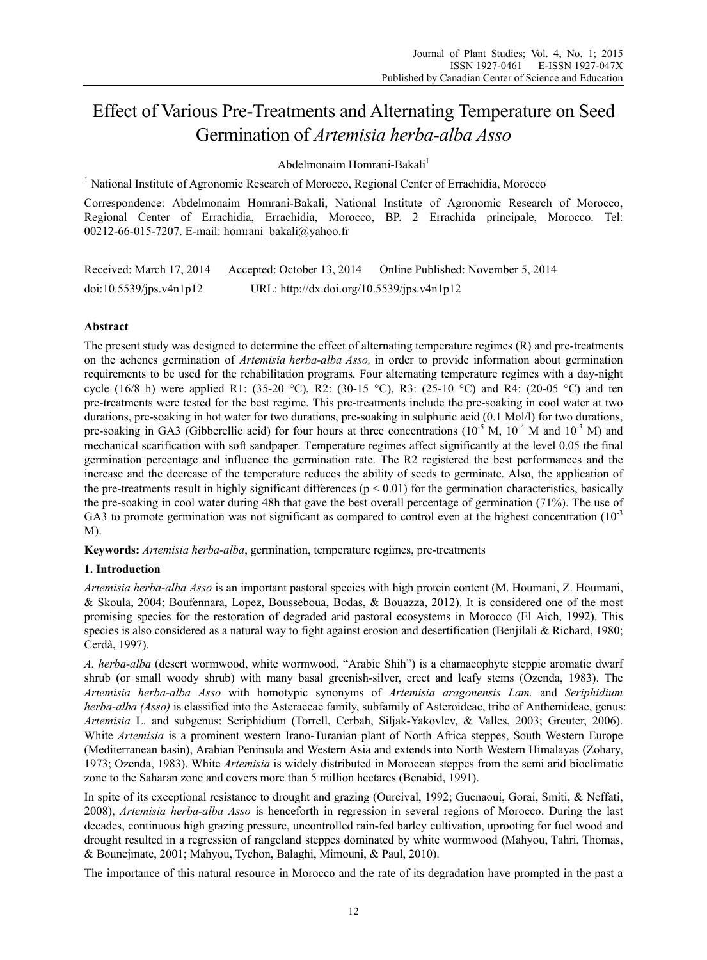# Effect of Various Pre-Treatments and Alternating Temperature on Seed Germination of *Artemisia herba*-*alba Asso*

Abdelmonaim Homrani-Bakali<sup>1</sup>

<sup>1</sup> National Institute of Agronomic Research of Morocco, Regional Center of Errachidia, Morocco

Correspondence: Abdelmonaim Homrani-Bakali, National Institute of Agronomic Research of Morocco, Regional Center of Errachidia, Errachidia, Morocco, BP. 2 Errachida principale, Morocco. Tel: 00212-66-015-7207. E-mail: homrani\_bakali@yahoo.fr

| Received: March 17, 2014 | Accepted: October 13, 2014                 | Online Published: November 5, 2014 |
|--------------------------|--------------------------------------------|------------------------------------|
| doi:10.5539/jps.v4n1p12  | URL: http://dx.doi.org/10.5539/jps.v4n1p12 |                                    |

# **Abstract**

The present study was designed to determine the effect of alternating temperature regimes (R) and pre-treatments on the achenes germination of *Artemisia herba-alba Asso,* in order to provide information about germination requirements to be used for the rehabilitation programs*.* Four alternating temperature regimes with a day-night cycle (16/8 h) were applied R1: (35-20 °C), R2: (30-15 °C), R3: (25-10 °C) and R4: (20-05 °C) and ten pre-treatments were tested for the best regime. This pre-treatments include the pre-soaking in cool water at two durations, pre-soaking in hot water for two durations, pre-soaking in sulphuric acid (0.1 Mol/l) for two durations, pre-soaking in GA3 (Gibberellic acid) for four hours at three concentrations  $(10^{-5}$  M,  $10^{-4}$  M and  $10^{-3}$  M) and mechanical scarification with soft sandpaper. Temperature regimes affect significantly at the level 0.05 the final germination percentage and influence the germination rate. The R2 registered the best performances and the increase and the decrease of the temperature reduces the ability of seeds to germinate. Also, the application of the pre-treatments result in highly significant differences ( $p < 0.01$ ) for the germination characteristics, basically the pre-soaking in cool water during 48h that gave the best overall percentage of germination (71%). The use of GA3 to promote germination was not significant as compared to control even at the highest concentration  $(10^{-3}$ M).

**Keywords:** *Artemisia herba-alba*, germination, temperature regimes, pre-treatments

# **1. Introduction**

*Artemisia herba-alba Asso* is an important pastoral species with high protein content (M. Houmani, Z. Houmani, & Skoula, 2004; Boufennara, Lopez, Bousseboua, Bodas, & Bouazza, 2012). It is considered one of the most promising species for the restoration of degraded arid pastoral ecosystems in Morocco (El Aich, 1992). This species is also considered as a natural way to fight against erosion and desertification (Benjilali & Richard, 1980; Cerdà, 1997).

*A. herba-alba* (desert wormwood, white wormwood, "Arabic Shih") is a chamaeophyte steppic aromatic dwarf shrub (or small woody shrub) with many basal greenish-silver, erect and leafy stems (Ozenda, 1983). The *Artemisia herba-alba Asso* with homotypic synonyms of *Artemisia aragonensis Lam.* and *Seriphidium herba-alba (Asso)* is classified into the Asteraceae family, subfamily of Asteroideae, tribe of Anthemideae, genus: *Artemisia* L. and subgenus: Seriphidium (Torrell, Cerbah, Siljak-Yakovlev, & Valles, 2003; Greuter, 2006). White *Artemisia* is a prominent western Irano-Turanian plant of North Africa steppes, South Western Europe (Mediterranean basin), Arabian Peninsula and Western Asia and extends into North Western Himalayas (Zohary, 1973; Ozenda, 1983). White *Artemisia* is widely distributed in Moroccan steppes from the semi arid bioclimatic zone to the Saharan zone and covers more than 5 million hectares (Benabid, 1991).

In spite of its exceptional resistance to drought and grazing (Ourcival, 1992; Guenaoui, Gorai, Smiti, & Neffati, 2008), *Artemisia herba-alba Asso* is henceforth in regression in several regions of Morocco. During the last decades, continuous high grazing pressure, uncontrolled rain-fed barley cultivation, uprooting for fuel wood and drought resulted in a regression of rangeland steppes dominated by white wormwood (Mahyou, Tahri, Thomas, & Bounejmate, 2001; Mahyou, Tychon, Balaghi, Mimouni, & Paul, 2010).

The importance of this natural resource in Morocco and the rate of its degradation have prompted in the past a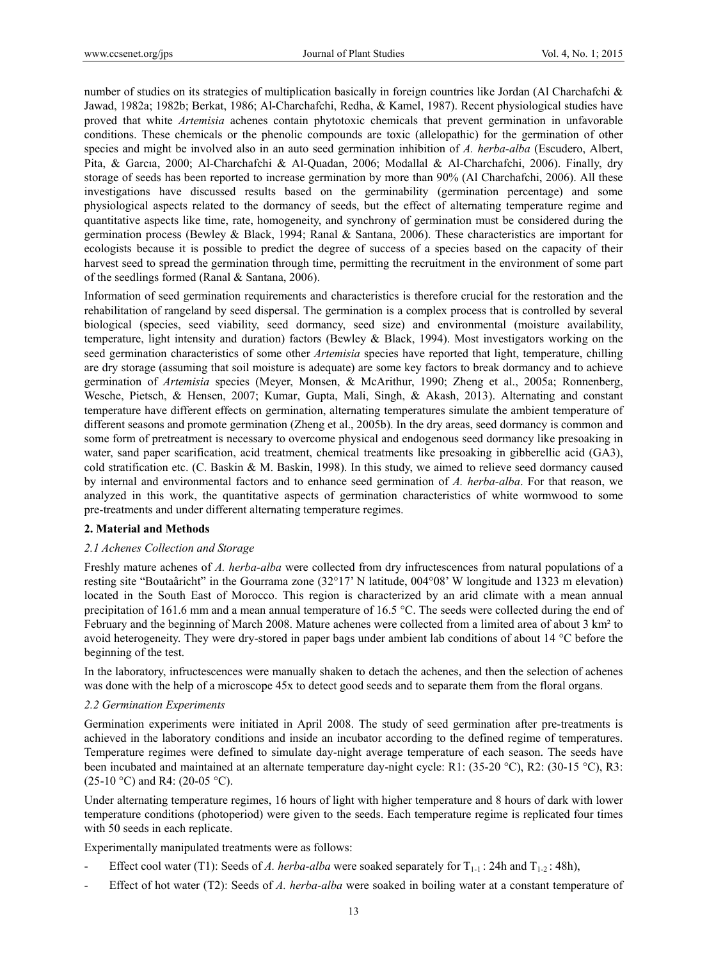number of studies on its strategies of multiplication basically in foreign countries like Jordan (Al Charchafchi & Jawad, 1982a; 1982b; Berkat, 1986; Al-Charchafchi, Redha, & Kamel, 1987). Recent physiological studies have proved that white *Artemisia* achenes contain phytotoxic chemicals that prevent germination in unfavorable conditions. These chemicals or the phenolic compounds are toxic (allelopathic) for the germination of other species and might be involved also in an auto seed germination inhibition of *A. herba-alba* (Escudero, Albert, Pita, & Garcıa, 2000; Al-Charchafchi & Al-Quadan, 2006; Modallal & Al-Charchafchi, 2006). Finally, dry storage of seeds has been reported to increase germination by more than 90% (Al Charchafchi, 2006). All these investigations have discussed results based on the germinability (germination percentage) and some physiological aspects related to the dormancy of seeds, but the effect of alternating temperature regime and quantitative aspects like time, rate, homogeneity, and synchrony of germination must be considered during the germination process (Bewley & Black, 1994; Ranal & Santana, 2006). These characteristics are important for ecologists because it is possible to predict the degree of success of a species based on the capacity of their harvest seed to spread the germination through time, permitting the recruitment in the environment of some part of the seedlings formed (Ranal & Santana, 2006).

Information of seed germination requirements and characteristics is therefore crucial for the restoration and the rehabilitation of rangeland by seed dispersal. The germination is a complex process that is controlled by several biological (species, seed viability, seed dormancy, seed size) and environmental (moisture availability, temperature, light intensity and duration) factors (Bewley & Black, 1994). Most investigators working on the seed germination characteristics of some other *Artemisia* species have reported that light, temperature, chilling are dry storage (assuming that soil moisture is adequate) are some key factors to break dormancy and to achieve germination of *Artemisia* species (Meyer, Monsen, & McArithur, 1990; Zheng et al., 2005a; Ronnenberg, Wesche, Pietsch, & Hensen, 2007; Kumar, Gupta, Mali, Singh, & Akash, 2013). Alternating and constant temperature have different effects on germination, alternating temperatures simulate the ambient temperature of different seasons and promote germination (Zheng et al., 2005b). In the dry areas, seed dormancy is common and some form of pretreatment is necessary to overcome physical and endogenous seed dormancy like presoaking in water, sand paper scarification, acid treatment, chemical treatments like presoaking in gibberellic acid (GA3), cold stratification etc. (C. Baskin & M. Baskin, 1998). In this study, we aimed to relieve seed dormancy caused by internal and environmental factors and to enhance seed germination of *A. herba-alba*. For that reason, we analyzed in this work, the quantitative aspects of germination characteristics of white wormwood to some pre-treatments and under different alternating temperature regimes.

# **2. Material and Methods**

# *2.1 Achenes Collection and Storage*

Freshly mature achenes of *A. herba-alba* were collected from dry infructescences from natural populations of a resting site "Boutaâricht" in the Gourrama zone (32°17' N latitude, 004°08' W longitude and 1323 m elevation) located in the South East of Morocco. This region is characterized by an arid climate with a mean annual precipitation of 161.6 mm and a mean annual temperature of 16.5 °C. The seeds were collected during the end of February and the beginning of March 2008. Mature achenes were collected from a limited area of about 3 km² to avoid heterogeneity. They were dry-stored in paper bags under ambient lab conditions of about 14 °C before the beginning of the test.

In the laboratory, infructescences were manually shaken to detach the achenes, and then the selection of achenes was done with the help of a microscope 45x to detect good seeds and to separate them from the floral organs.

#### *2.2 Germination Experiments*

Germination experiments were initiated in April 2008. The study of seed germination after pre-treatments is achieved in the laboratory conditions and inside an incubator according to the defined regime of temperatures. Temperature regimes were defined to simulate day-night average temperature of each season. The seeds have been incubated and maintained at an alternate temperature day-night cycle: R1: (35-20 °C), R2: (30-15 °C), R3:  $(25-10 \degree C)$  and R4:  $(20-05 \degree C)$ .

Under alternating temperature regimes, 16 hours of light with higher temperature and 8 hours of dark with lower temperature conditions (photoperiod) were given to the seeds. Each temperature regime is replicated four times with 50 seeds in each replicate.

Experimentally manipulated treatments were as follows:

- Effect cool water (T1): Seeds of *A. herba-alba* were soaked separately for  $T_{1-1}$ : 24h and  $T_{1-2}$ : 48h),
- Effect of hot water (T2): Seeds of *A. herba-alba* were soaked in boiling water at a constant temperature of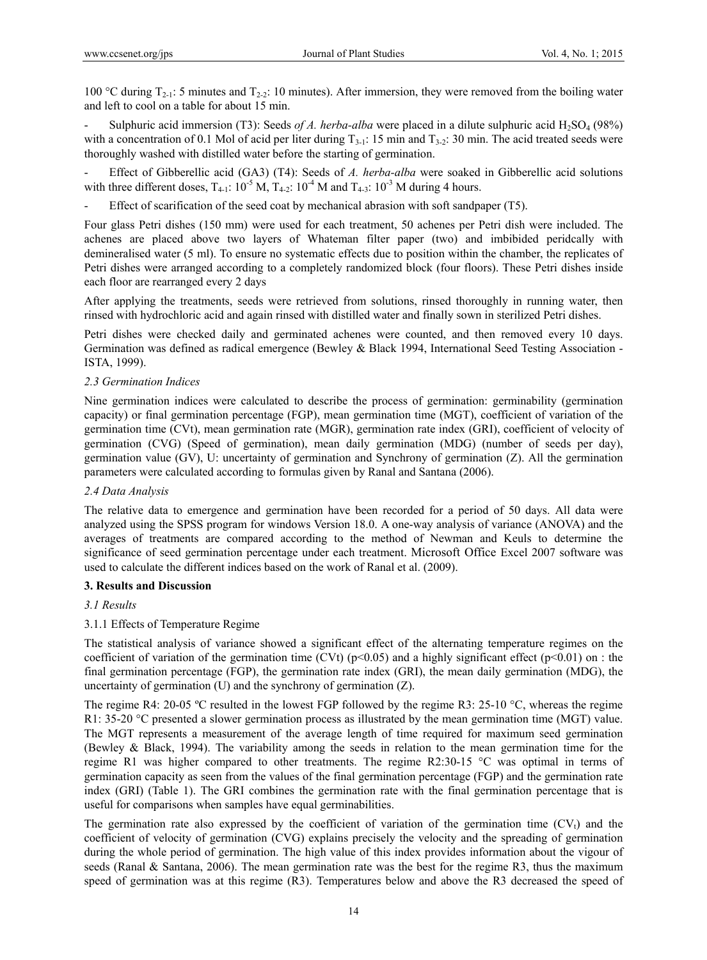100 °C during  $T_{2-1}$ : 5 minutes and  $T_{2-2}$ : 10 minutes). After immersion, they were removed from the boiling water and left to cool on a table for about 15 min.

Sulphuric acid immersion (T3): Seeds *of A. herba-alba* were placed in a dilute sulphuric acid H<sub>2</sub>SO<sub>4</sub> (98%) with a concentration of 0.1 Mol of acid per liter during  $T_{3-1}$ : 15 min and  $T_{3-2}$ : 30 min. The acid treated seeds were thoroughly washed with distilled water before the starting of germination.

- Effect of Gibberellic acid (GA3) (T4): Seeds of *A. herba-alba* were soaked in Gibberellic acid solutions with three different doses,  $T_{4-1}$ :  $10^{-5}$  M,  $T_{4-2}$ :  $10^{-4}$  M and  $T_{4-3}$ :  $10^{-3}$  M during 4 hours.

Effect of scarification of the seed coat by mechanical abrasion with soft sandpaper (T5).

Four glass Petri dishes (150 mm) were used for each treatment, 50 achenes per Petri dish were included. The achenes are placed above two layers of Whateman filter paper (two) and imbibided peridcally with demineralised water (5 ml). To ensure no systematic effects due to position within the chamber, the replicates of Petri dishes were arranged according to a completely randomized block (four floors). These Petri dishes inside each floor are rearranged every 2 days

After applying the treatments, seeds were retrieved from solutions, rinsed thoroughly in running water, then rinsed with hydrochloric acid and again rinsed with distilled water and finally sown in sterilized Petri dishes.

Petri dishes were checked daily and germinated achenes were counted, and then removed every 10 days. Germination was defined as radical emergence (Bewley & Black 1994, International Seed Testing Association - ISTA, 1999).

# *2.3 Germination Indices*

Nine germination indices were calculated to describe the process of germination: germinability (germination capacity) or final germination percentage (FGP), mean germination time (MGT), coefficient of variation of the germination time (CVt), mean germination rate (MGR), germination rate index (GRI), coefficient of velocity of germination (CVG) (Speed of germination), mean daily germination (MDG) (number of seeds per day), germination value (GV), U: uncertainty of germination and Synchrony of germination (Z). All the germination parameters were calculated according to formulas given by Ranal and Santana (2006).

# *2.4 Data Analysis*

The relative data to emergence and germination have been recorded for a period of 50 days. All data were analyzed using the SPSS program for windows Version 18.0. A one-way analysis of variance (ANOVA) and the averages of treatments are compared according to the method of Newman and Keuls to determine the significance of seed germination percentage under each treatment. Microsoft Office Excel 2007 software was used to calculate the different indices based on the work of Ranal et al. (2009).

# **3. Results and Discussion**

# *3.1 Results*

# 3.1.1 Effects of Temperature Regime

The statistical analysis of variance showed a significant effect of the alternating temperature regimes on the coefficient of variation of the germination time (CVt) ( $p<0.05$ ) and a highly significant effect ( $p<0.01$ ) on : the final germination percentage (FGP), the germination rate index (GRI), the mean daily germination (MDG), the uncertainty of germination (U) and the synchrony of germination (Z).

The regime R4: 20-05 ºC resulted in the lowest FGP followed by the regime R3: 25-10 °C, whereas the regime R1: 35-20 °C presented a slower germination process as illustrated by the mean germination time (MGT) value. The MGT represents a measurement of the average length of time required for maximum seed germination (Bewley & Black, 1994). The variability among the seeds in relation to the mean germination time for the regime R1 was higher compared to other treatments. The regime R2:30-15 °C was optimal in terms of germination capacity as seen from the values of the final germination percentage (FGP) and the germination rate index (GRI) (Table 1). The GRI combines the germination rate with the final germination percentage that is useful for comparisons when samples have equal germinabilities.

The germination rate also expressed by the coefficient of variation of the germination time  $(CV<sub>t</sub>)$  and the coefficient of velocity of germination (CVG) explains precisely the velocity and the spreading of germination during the whole period of germination. The high value of this index provides information about the vigour of seeds (Ranal & Santana, 2006). The mean germination rate was the best for the regime R3, thus the maximum speed of germination was at this regime (R3). Temperatures below and above the R3 decreased the speed of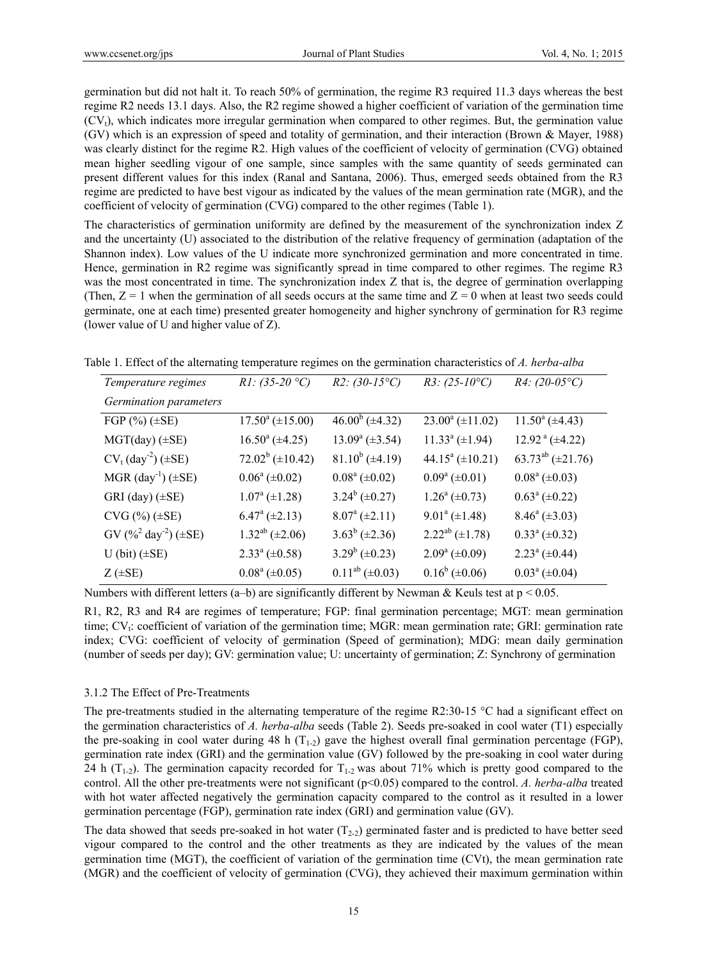germination but did not halt it. To reach 50% of germination, the regime R3 required 11.3 days whereas the best regime R2 needs 13.1 days. Also, the R2 regime showed a higher coefficient of variation of the germination time (CVt), which indicates more irregular germination when compared to other regimes. But, the germination value (GV) which is an expression of speed and totality of germination, and their interaction (Brown & Mayer, 1988) was clearly distinct for the regime R2. High values of the coefficient of velocity of germination (CVG) obtained mean higher seedling vigour of one sample, since samples with the same quantity of seeds germinated can present different values for this index (Ranal and Santana, 2006). Thus, emerged seeds obtained from the R3 regime are predicted to have best vigour as indicated by the values of the mean germination rate (MGR), and the coefficient of velocity of germination (CVG) compared to the other regimes (Table 1).

The characteristics of germination uniformity are defined by the measurement of the synchronization index Z and the uncertainty (U) associated to the distribution of the relative frequency of germination (adaptation of the Shannon index). Low values of the U indicate more synchronized germination and more concentrated in time. Hence, germination in R2 regime was significantly spread in time compared to other regimes. The regime R3 was the most concentrated in time. The synchronization index Z that is, the degree of germination overlapping (Then,  $Z = 1$  when the germination of all seeds occurs at the same time and  $Z = 0$  when at least two seeds could germinate, one at each time) presented greater homogeneity and higher synchrony of germination for R3 regime (lower value of U and higher value of Z).

| Table 1. Effect of the alternating temperature regimes on the germination characteristics of A. herba-alba |  |  |  |  |  |  |  |  |  |  |  |  |
|------------------------------------------------------------------------------------------------------------|--|--|--|--|--|--|--|--|--|--|--|--|
|------------------------------------------------------------------------------------------------------------|--|--|--|--|--|--|--|--|--|--|--|--|

| Temperature regimes                    | $R1: (35-20 °C)$               | $R2: (30-15^{\circ}C)$ | $R3: (25-10^{\circ}C)$       | $R4: (20-05°C)$                    |
|----------------------------------------|--------------------------------|------------------------|------------------------------|------------------------------------|
| Germination parameters                 |                                |                        |                              |                                    |
| FGP $%$ $($ $\pm$ SE $)$               | $17.50^a (\pm 15.00)$          | $46.00^b$ (±4.32)      | $23.00^a (\pm 11.02)$        | $11.50^a (\pm 4.43)$               |
| $MGT/day)$ ( $\pm$ SE)                 | $16.50^{\circ}$ (±4.25)        | $13.09^a (\pm 3.54)$   | $11.33^a (\pm 1.94)$         | $12.92^{\text{a}} (\pm 4.22)$      |
| $CV_t (day^2) (\pm SE)$                | $72.02^b (\pm 10.42)$          | $81.10^{b} (\pm 4.19)$ | 44.15 $\textdegree$ (±10.21) | 63.73 <sup>ab</sup> ( $\pm$ 21.76) |
| $MGR$ (day <sup>-1</sup> ) ( $\pm$ SE) | $0.06^a (\pm 0.02)$            | $0.08^a (\pm 0.02)$    | $0.09^a (\pm 0.01)$          | $0.08^a (\pm 0.03)$                |
| GRI (day) (±SE)                        | $1.07^{\rm a}$ (±1.28)         | $3.24^b (\pm 0.27)$    | $1.26^a (\pm 0.73)$          | $0.63^a (\pm 0.22)$                |
| $CVG (\%)(\pm SE)$                     | $6.47^{\mathrm{a}} (\pm 2.13)$ | $8.07^{\rm a}$ (±2.11) | $9.01^a (\pm 1.48)$          | $8.46^a (\pm 3.03)$                |
| $GV (%^{2} day^{2}) (\pm SE)$          | $1.32^{ab} (\pm 2.06)$         | $3.63^b (\pm 2.36)$    | $2.22^{ab} (\pm 1.78)$       | $0.33^{\text{a}} (\pm 0.32)$       |
| $U$ (bit) $(\pm SE)$                   | $2.33^a \, (\pm 0.58)$         | $3.29^b (\pm 0.23)$    | $2.09^a (\pm 0.09)$          | $2.23^a (\pm 0.44)$                |
| $Z$ ( $\pm$ SE)                        | $0.08^a (\pm 0.05)$            | $0.11^{ab} (\pm 0.03)$ | $0.16^b (\pm 0.06)$          | $0.03^a (\pm 0.04)$                |
|                                        |                                |                        |                              |                                    |

Numbers with different letters (a–b) are significantly different by Newman & Keuls test at  $p < 0.05$ .

R1, R2, R3 and R4 are regimes of temperature; FGP: final germination percentage; MGT: mean germination time; CV<sub>t</sub>: coefficient of variation of the germination time; MGR: mean germination rate; GRI: germination rate index; CVG: coefficient of velocity of germination (Speed of germination); MDG: mean daily germination (number of seeds per day); GV: germination value; U: uncertainty of germination; Z: Synchrony of germination

#### 3.1.2 The Effect of Pre-Treatments

The pre-treatments studied in the alternating temperature of the regime R2:30-15  $^{\circ}$ C had a significant effect on the germination characteristics of *A. herba-alba* seeds (Table 2). Seeds pre-soaked in cool water (T1) especially the pre-soaking in cool water during 48 h  $(T_{1-2})$  gave the highest overall final germination percentage (FGP), germination rate index (GRI) and the germination value (GV) followed by the pre-soaking in cool water during 24 h ( $T_{1-2}$ ). The germination capacity recorded for  $T_{1-2}$  was about 71% which is pretty good compared to the control. All the other pre-treatments were not significant (p<0.05) compared to the control. *A. herba-alba* treated with hot water affected negatively the germination capacity compared to the control as it resulted in a lower germination percentage (FGP), germination rate index (GRI) and germination value (GV).

The data showed that seeds pre-soaked in hot water  $(T_{2-2})$  germinated faster and is predicted to have better seed vigour compared to the control and the other treatments as they are indicated by the values of the mean germination time (MGT), the coefficient of variation of the germination time (CVt), the mean germination rate (MGR) and the coefficient of velocity of germination (CVG), they achieved their maximum germination within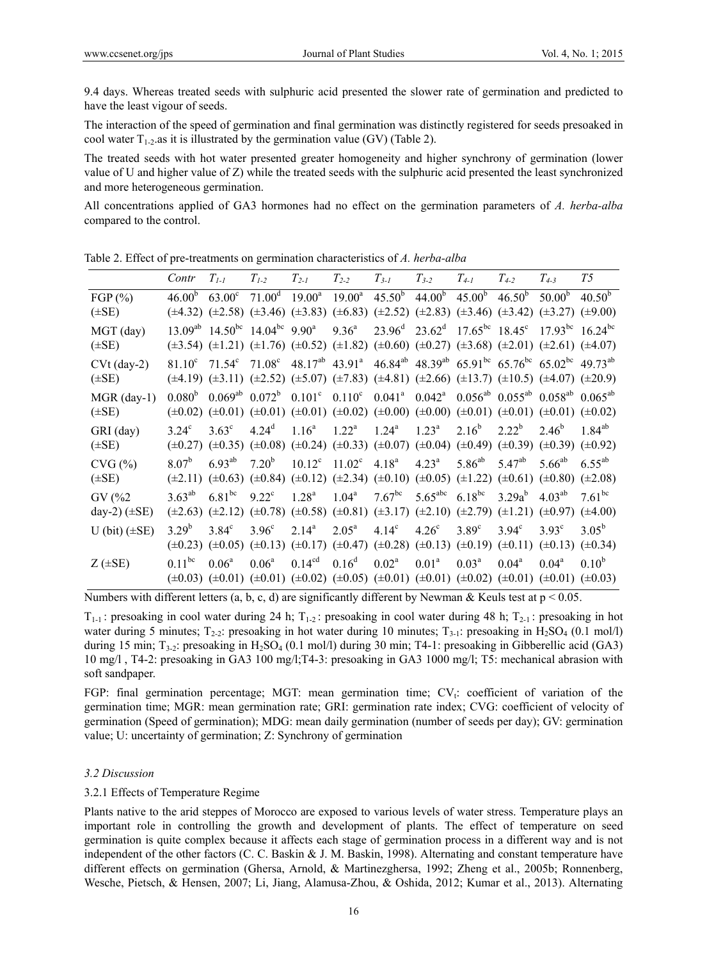9.4 days. Whereas treated seeds with sulphuric acid presented the slower rate of germination and predicted to have the least vigour of seeds.

The interaction of the speed of germination and final germination was distinctly registered for seeds presoaked in cool water  $T_{1-2}$  as it is illustrated by the germination value (GV) (Table 2).

The treated seeds with hot water presented greater homogeneity and higher synchrony of germination (lower value of U and higher value of Z) while the treated seeds with the sulphuric acid presented the least synchronized and more heterogeneous germination.

All concentrations applied of GA3 hormones had no effect on the germination parameters of *A. herba-alba* compared to the control.

|                              | Contr              | $T_{1-1}$       | $T_{1-2}$                                                                                                                                                                                                                                                                                                                              | $T_{2-I}$          | $T_{2-2}$                    | $T_{3-I}$            | $T_{3-2}$                              | $T_{4-I}$      | $T_{4-2}$                                                                                                            | $T_{4-3}$      | T5                                                                                                                                                           |
|------------------------------|--------------------|-----------------|----------------------------------------------------------------------------------------------------------------------------------------------------------------------------------------------------------------------------------------------------------------------------------------------------------------------------------------|--------------------|------------------------------|----------------------|----------------------------------------|----------------|----------------------------------------------------------------------------------------------------------------------|----------------|--------------------------------------------------------------------------------------------------------------------------------------------------------------|
| FGP $(\% )$<br>$(\pm SE)$    | 46.00 <sup>b</sup> | $63.00^{\circ}$ | $71.00^d$ 19.00 <sup>a</sup><br>$(\pm 4.32)$ $(\pm 2.58)$ $(\pm 3.46)$ $(\pm 3.83)$ $(\pm 6.83)$ $(\pm 2.52)$ $(\pm 2.83)$ $(\pm 3.46)$ $(\pm 3.42)$ $(\pm 3.27)$ $(\pm 9.00)$                                                                                                                                                         |                    | $19.00^{\text{a}}$           |                      | $45.50^b$ $44.00^b$ $45.00^b$          |                | $46.50^{b}$                                                                                                          | $50.00^{b}$    | $40.50^{b}$                                                                                                                                                  |
| MGT (day)<br>$(\pm SE)$      |                    |                 | $13.09^{ab}$ $14.50^{bc}$ $14.04^{bc}$ $9.90^a$<br>$(\pm 3.54)$ $(\pm 1.21)$ $(\pm 1.76)$ $(\pm 0.52)$ $(\pm 1.82)$ $(\pm 0.60)$ $(\pm 0.27)$ $(\pm 3.68)$ $(\pm 2.01)$ $(\pm 2.61)$ $(\pm 4.07)$                                                                                                                                      |                    | $9.36^{\circ}$               |                      |                                        |                | $23.96^{\text{d}}$ $23.62^{\text{d}}$ $17.65^{\text{bc}}$ $18.45^{\text{c}}$ $17.93^{\text{bc}}$ $16.24^{\text{bc}}$ |                |                                                                                                                                                              |
| $CVt$ (day-2)<br>$(\pm SE)$  |                    |                 | $81.10^c$ $71.54^c$ $71.08^c$ $48.17^{ab}$ $43.91^a$ $46.84^{ab}$ $48.39^{ab}$ $65.91^{bc}$ $65.76^{bc}$ $65.02^{bc}$ $49.73^{ab}$<br>$(\pm 4.19)$ $(\pm 3.11)$ $(\pm 2.52)$ $(\pm 5.07)$ $(\pm 7.83)$ $(\pm 4.81)$ $(\pm 2.66)$ $(\pm 13.7)$ $(\pm 10.5)$ $(\pm 4.07)$ $(\pm 20.9)$                                                   |                    |                              |                      |                                        |                |                                                                                                                      |                |                                                                                                                                                              |
| $MGR$ (day-1)<br>$(\pm SE)$  |                    |                 | $0.080^{\rm b}$ $0.069^{\rm ab}$ $0.072^{\rm b}$ $0.101^{\rm c}$ $0.110^{\rm c}$ $0.041^{\rm a}$ $0.042^{\rm a}$ $0.056^{\rm ab}$ $0.055^{\rm ab}$ $0.058^{\rm ab}$ $0.065^{\rm ab}$<br>$(\pm 0.02)$ $(\pm 0.01)$ $(\pm 0.01)$ $(\pm 0.01)$ $(\pm 0.02)$ $(\pm 0.00)$ $(\pm 0.00)$ $(\pm 0.01)$ $(\pm 0.01)$ $(\pm 0.01)$ $(\pm 0.02)$ |                    |                              |                      |                                        |                |                                                                                                                      |                |                                                                                                                                                              |
| GRI (day)<br>$(\pm SE)$      | $3.24^{\circ}$     | $3.63^{\circ}$  | $4.24^d$<br>$(\pm 0.27)$ $(\pm 0.35)$ $(\pm 0.08)$ $(\pm 0.24)$ $(\pm 0.33)$ $(\pm 0.07)$ $(\pm 0.04)$ $(\pm 0.49)$ $(\pm 0.39)$ $(\pm 0.39)$ $(\pm 0.92)$                                                                                                                                                                             | $1.16^{\circ}$     | $1.22^a$ $1.24^a$            |                      | $1.23^{\rm a}$                         | $2.16^{b}$     | $2.22^{\rm b}$                                                                                                       | $2.46^b$       | $1.84^{ab}$                                                                                                                                                  |
| $CVG (\% )$<br>$(\pm SE)$    | $8.07^b$           | $6.93^{ab}$     | $7.20^{b}$<br>$(\pm 2.11)$ $(\pm 0.63)$ $(\pm 0.84)$ $(\pm 0.12)$ $(\pm 2.34)$ $(\pm 0.10)$ $(\pm 0.05)$ $(\pm 1.22)$ $(\pm 0.61)$ $(\pm 0.80)$ $(\pm 2.08)$                                                                                                                                                                           |                    | $10.12^c$ $11.02^c$ $4.18^a$ |                      | $4.23^{\rm a}$                         | $5.86^{ab}$    | $5.47^{ab}$                                                                                                          | $5.66^{ab}$    | $6.55^{ab}$                                                                                                                                                  |
| GV (%2)<br>day-2) $(\pm SE)$ | $3.63^{ab}$        | $6.81^{bc}$     | $9.22^{\circ}$<br>$(\pm 2.63)$ $(\pm 2.12)$ $(\pm 0.78)$ $(\pm 0.58)$ $(\pm 0.81)$ $(\pm 3.17)$ $(\pm 2.10)$ $(\pm 2.79)$ $(\pm 1.21)$ $(\pm 0.97)$ $(\pm 4.00)$                                                                                                                                                                       | 1.28 <sup>a</sup>  | 1.04 <sup>a</sup>            | $7.67$ <sup>bc</sup> | 5.65 <sup>abc</sup> 6.18 <sup>bc</sup> |                | $3.29a^{b}$                                                                                                          | $4.03^{ab}$    | $7.61^{bc}$                                                                                                                                                  |
| U (bit) $(\pm SE)$           | $3.29^{b}$         | $3.84^\circ$    | 3.96 <sup>c</sup><br>$(\pm 0.23)$ $(\pm 0.05)$ $(\pm 0.13)$ $(\pm 0.17)$ $(\pm 0.47)$ $(\pm 0.28)$ $(\pm 0.13)$ $(\pm 0.19)$ $(\pm 0.11)$ $(\pm 0.13)$ $(\pm 0.34)$                                                                                                                                                                    | $2.14^{\rm a}$     | $2.05^{\rm a}$               | 4.14 <sup>c</sup>    | 4.26 <sup>c</sup>                      | $3.89^\circ$   | $3.94^\circ$                                                                                                         | $3.93^{\circ}$ | $3.05^{\rm b}$                                                                                                                                               |
| $Z$ ( $\pm$ SE)              | $0.11^{bc}$        | $0.06^{\rm a}$  | $0.06^{\rm a}$                                                                                                                                                                                                                                                                                                                         | 0.14 <sup>cd</sup> | 0.16 <sup>d</sup>            | $0.02^{\rm a}$       | 0.01 <sup>a</sup>                      | $0.03^{\rm a}$ | $0.04^{\rm a}$                                                                                                       | $0.04^{\rm a}$ | $0.10^{b}$<br>$(\pm 0.03)$ $(\pm 0.01)$ $(\pm 0.01)$ $(\pm 0.02)$ $(\pm 0.05)$ $(\pm 0.01)$ $(\pm 0.01)$ $(\pm 0.02)$ $(\pm 0.01)$ $(\pm 0.01)$ $(\pm 0.03)$ |

Table 2. Effect of pre-treatments on germination characteristics of *A. herba-alba* 

Numbers with different letters (a, b, c, d) are significantly different by Newman & Keuls test at  $p < 0.05$ .

 $T_{1-1}$ : presoaking in cool water during 24 h;  $T_{1-2}$ : presoaking in cool water during 48 h;  $T_{2-1}$ : presoaking in hot water during 5 minutes;  $T_{2-2}$ : presoaking in hot water during 10 minutes;  $T_{3-1}$ : presoaking in H<sub>2</sub>SO<sub>4</sub> (0.1 mol/l) during 15 min; T<sub>3-2</sub>: presoaking in H<sub>2</sub>SO<sub>4</sub> (0.1 mol/l) during 30 min; T4-1: presoaking in Gibberellic acid (GA3) 10 mg/l , T4-2: presoaking in GA3 100 mg/l;T4-3: presoaking in GA3 1000 mg/l; T5: mechanical abrasion with soft sandpaper.

FGP: final germination percentage; MGT: mean germination time;  $CV_t$ : coefficient of variation of the germination time; MGR: mean germination rate; GRI: germination rate index; CVG: coefficient of velocity of germination (Speed of germination); MDG: mean daily germination (number of seeds per day); GV: germination value; U: uncertainty of germination; Z: Synchrony of germination

# *3.2 Discussion*

# 3.2.1 Effects of Temperature Regime

Plants native to the arid steppes of Morocco are exposed to various levels of water stress. Temperature plays an important role in controlling the growth and development of plants. The effect of temperature on seed germination is quite complex because it affects each stage of germination process in a different way and is not independent of the other factors (C. C. Baskin & J. M. Baskin, 1998). Alternating and constant temperature have different effects on germination (Ghersa, Arnold, & Martinezghersa, 1992; Zheng et al., 2005b; Ronnenberg, Wesche, Pietsch, & Hensen, 2007; Li, Jiang, Alamusa-Zhou, & Oshida, 2012; Kumar et al., 2013). Alternating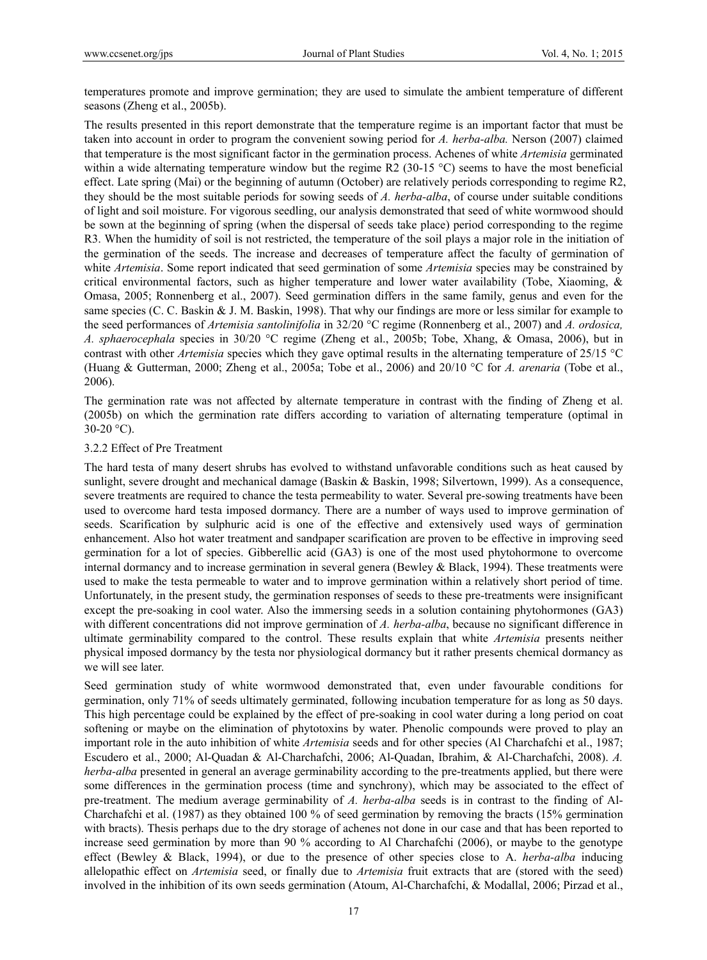temperatures promote and improve germination; they are used to simulate the ambient temperature of different seasons (Zheng et al., 2005b).

The results presented in this report demonstrate that the temperature regime is an important factor that must be taken into account in order to program the convenient sowing period for *A. herba-alba.* Nerson (2007) claimed that temperature is the most significant factor in the germination process. Achenes of white *Artemisia* germinated within a wide alternating temperature window but the regime R2 (30-15 °C) seems to have the most beneficial effect. Late spring (Mai) or the beginning of autumn (October) are relatively periods corresponding to regime R2, they should be the most suitable periods for sowing seeds of *A. herba-alba*, of course under suitable conditions of light and soil moisture. For vigorous seedling, our analysis demonstrated that seed of white wormwood should be sown at the beginning of spring (when the dispersal of seeds take place) period corresponding to the regime R3. When the humidity of soil is not restricted, the temperature of the soil plays a major role in the initiation of the germination of the seeds. The increase and decreases of temperature affect the faculty of germination of white *Artemisia*. Some report indicated that seed germination of some *Artemisia* species may be constrained by critical environmental factors, such as higher temperature and lower water availability (Tobe, Xiaoming, & Omasa, 2005; Ronnenberg et al., 2007). Seed germination differs in the same family, genus and even for the same species (C. C. Baskin & J. M. Baskin, 1998). That why our findings are more or less similar for example to the seed performances of *Artemisia santolinifolia* in 32/20 °C regime (Ronnenberg et al., 2007) and *A. ordosica, A. sphaerocephala* species in 30/20 °C regime (Zheng et al., 2005b; Tobe, Xhang, & Omasa, 2006), but in contrast with other *Artemisia* species which they gave optimal results in the alternating temperature of 25/15 °C (Huang & Gutterman, 2000; Zheng et al., 2005a; Tobe et al., 2006) and 20/10 °C for *A. arenaria* (Tobe et al., 2006).

The germination rate was not affected by alternate temperature in contrast with the finding of Zheng et al. (2005b) on which the germination rate differs according to variation of alternating temperature (optimal in  $30-20$  °C).

#### 3.2.2 Effect of Pre Treatment

The hard testa of many desert shrubs has evolved to withstand unfavorable conditions such as heat caused by sunlight, severe drought and mechanical damage (Baskin & Baskin, 1998; Silvertown, 1999). As a consequence, severe treatments are required to chance the testa permeability to water. Several pre-sowing treatments have been used to overcome hard testa imposed dormancy. There are a number of ways used to improve germination of seeds. Scarification by sulphuric acid is one of the effective and extensively used ways of germination enhancement. Also hot water treatment and sandpaper scarification are proven to be effective in improving seed germination for a lot of species. Gibberellic acid (GA3) is one of the most used phytohormone to overcome internal dormancy and to increase germination in several genera (Bewley & Black, 1994). These treatments were used to make the testa permeable to water and to improve germination within a relatively short period of time. Unfortunately, in the present study, the germination responses of seeds to these pre-treatments were insignificant except the pre-soaking in cool water. Also the immersing seeds in a solution containing phytohormones (GA3) with different concentrations did not improve germination of *A. herba-alba*, because no significant difference in ultimate germinability compared to the control. These results explain that white *Artemisia* presents neither physical imposed dormancy by the testa nor physiological dormancy but it rather presents chemical dormancy as we will see later.

Seed germination study of white wormwood demonstrated that, even under favourable conditions for germination, only 71% of seeds ultimately germinated, following incubation temperature for as long as 50 days. This high percentage could be explained by the effect of pre-soaking in cool water during a long period on coat softening or maybe on the elimination of phytotoxins by water. Phenolic compounds were proved to play an important role in the auto inhibition of white *Artemisia* seeds and for other species (Al Charchafchi et al., 1987; Escudero et al., 2000; Al-Quadan & Al-Charchafchi, 2006; Al-Quadan, Ibrahim, & Al-Charchafchi, 2008). *A. herba-alba* presented in general an average germinability according to the pre-treatments applied, but there were some differences in the germination process (time and synchrony), which may be associated to the effect of pre-treatment. The medium average germinability of *A. herba-alba* seeds is in contrast to the finding of Al-Charchafchi et al. (1987) as they obtained 100 % of seed germination by removing the bracts (15% germination with bracts). Thesis perhaps due to the dry storage of achenes not done in our case and that has been reported to increase seed germination by more than 90 % according to Al Charchafchi (2006), or maybe to the genotype effect (Bewley & Black, 1994), or due to the presence of other species close to A. *herba-alba* inducing allelopathic effect on *Artemisia* seed, or finally due to *Artemisia* fruit extracts that are (stored with the seed) involved in the inhibition of its own seeds germination (Atoum, Al-Charchafchi, & Modallal, 2006; Pirzad et al.,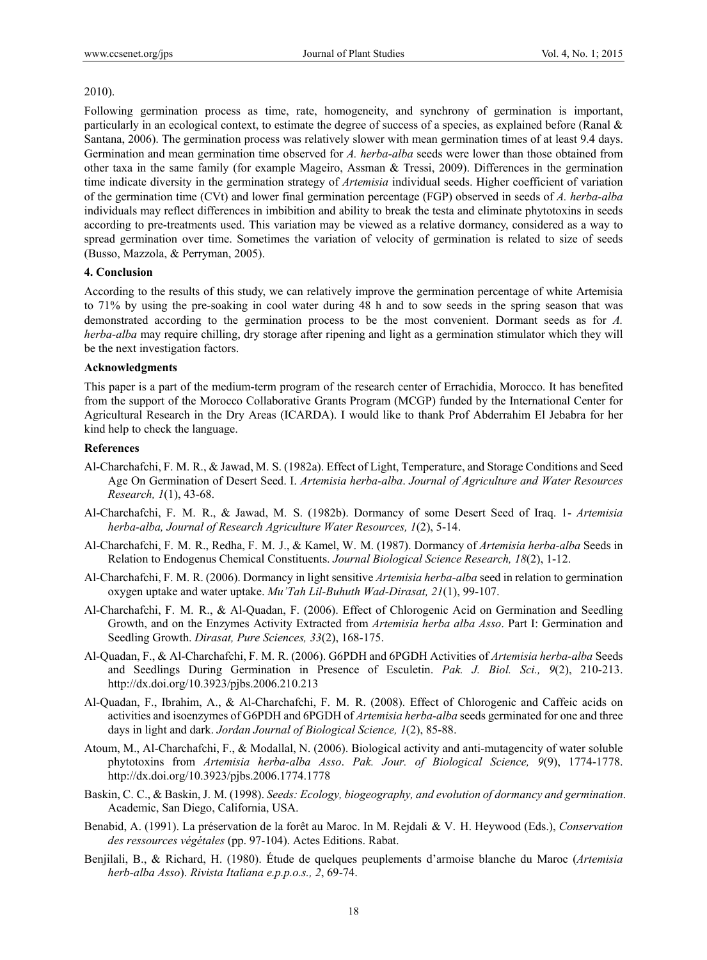#### 2010).

Following germination process as time, rate, homogeneity, and synchrony of germination is important, particularly in an ecological context, to estimate the degree of success of a species, as explained before (Ranal & Santana, 2006). The germination process was relatively slower with mean germination times of at least 9.4 days. Germination and mean germination time observed for *A. herba-alba* seeds were lower than those obtained from other taxa in the same family (for example Mageiro, Assman & Tressi, 2009). Differences in the germination time indicate diversity in the germination strategy of *Artemisia* individual seeds. Higher coefficient of variation of the germination time (CVt) and lower final germination percentage (FGP) observed in seeds of *A. herba-alba* individuals may reflect differences in imbibition and ability to break the testa and eliminate phytotoxins in seeds according to pre-treatments used. This variation may be viewed as a relative dormancy, considered as a way to spread germination over time. Sometimes the variation of velocity of germination is related to size of seeds (Busso, Mazzola, & Perryman, 2005).

#### **4. Conclusion**

According to the results of this study, we can relatively improve the germination percentage of white Artemisia to 71% by using the pre-soaking in cool water during 48 h and to sow seeds in the spring season that was demonstrated according to the germination process to be the most convenient. Dormant seeds as for *A. herba-alba* may require chilling, dry storage after ripening and light as a germination stimulator which they will be the next investigation factors.

#### **Acknowledgments**

This paper is a part of the medium-term program of the research center of Errachidia, Morocco. It has benefited from the support of the Morocco Collaborative Grants Program (MCGP) funded by the International Center for Agricultural Research in the Dry Areas (ICARDA). I would like to thank Prof Abderrahim El Jebabra for her kind help to check the language.

# **References**

- Al-Charchafchi, F. M. R., & Jawad, M. S. (1982a). Effect of Light, Temperature, and Storage Conditions and Seed Age On Germination of Desert Seed. I. *Artemisia herba-alba*. *Journal of Agriculture and Water Resources Research, 1*(1), 43-68.
- Al-Charchafchi, F. M. R., & Jawad, M. S. (1982b). Dormancy of some Desert Seed of Iraq. 1- *Artemisia herba-alba, Journal of Research Agriculture Water Resources, 1*(2), 5-14.
- Al-Charchafchi, F. M. R., Redha, F. M. J., & Kamel, W. M. (1987). Dormancy of *Artemisia herba-alba* Seeds in Relation to Endogenus Chemical Constituents. *Journal Biological Science Research, 18*(2), 1-12.
- Al-Charchafchi, F. M. R. (2006). Dormancy in light sensitive *Artemisia herba-alba* seed in relation to germination oxygen uptake and water uptake. *Mu'Tah Lil-Buhuth Wad-Dirasat, 21*(1), 99-107.
- Al-Charchafchi, F. M. R., & Al-Quadan, F. (2006). Effect of Chlorogenic Acid on Germination and Seedling Growth, and on the Enzymes Activity Extracted from *Artemisia herba alba Asso*. Part I: Germination and Seedling Growth. *Dirasat, Pure Sciences, 33*(2), 168-175.
- Al-Quadan, F., & Al-Charchafchi, F. M. R. (2006). G6PDH and 6PGDH Activities of *Artemisia herba-alba* Seeds and Seedlings During Germination in Presence of Esculetin. *Pak. J. Biol. Sci., 9*(2), 210-213. http://dx.doi.org/10.3923/pjbs.2006.210.213
- Al-Quadan, F., Ibrahim, A., & Al-Charchafchi, F. M. R. (2008). Effect of Chlorogenic and Caffeic acids on activities and isoenzymes of G6PDH and 6PGDH of *Artemisia herba-alba* seeds germinated for one and three days in light and dark. *Jordan Journal of Biological Science, 1*(2), 85-88.
- Atoum, M., Al-Charchafchi, F., & Modallal, N. (2006). Biological activity and anti-mutagencity of water soluble phytotoxins from *Artemisia herba-alba Asso*. *Pak. Jour. of Biological Science, 9*(9), 1774-1778. http://dx.doi.org/10.3923/pjbs.2006.1774.1778
- Baskin, C. C., & Baskin, J. M. (1998). *Seeds: Ecology, biogeography, and evolution of dormancy and germination*. Academic, San Diego, California, USA.
- Benabid, A. (1991). La préservation de la forêt au Maroc. In M. Rejdali & V. H. Heywood (Eds.), *Conservation des ressources végétales* (pp. 97-104). Actes Editions. Rabat.
- Benjilali, B., & Richard, H. (1980). Étude de quelques peuplements d'armoise blanche du Maroc (*Artemisia herb-alba Asso*). *Rivista Italiana e.p.p.o.s., 2*, 69-74.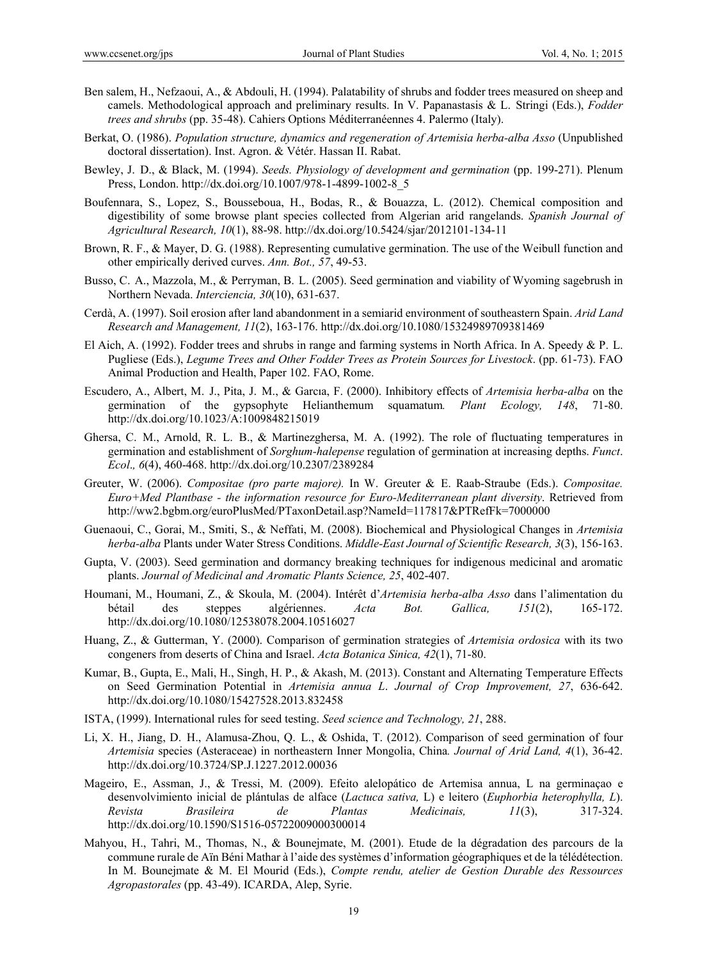- Ben salem, H., Nefzaoui, A., & Abdouli, H. (1994). Palatability of shrubs and fodder trees measured on sheep and camels. Methodological approach and preliminary results. In V. Papanastasis & L. Stringi (Eds.), *Fodder trees and shrubs* (pp. 35-48). Cahiers Options Méditerranéennes 4. Palermo (Italy).
- Berkat, O. (1986). *Population structure, dynamics and regeneration of Artemisia herba-alba Asso* (Unpublished doctoral dissertation). Inst. Agron. & Vétér. Hassan II. Rabat.
- Bewley, J. D., & Black, M. (1994). *Seeds. Physiology of development and germination* (pp. 199-271). Plenum Press, London. http://dx.doi.org/10.1007/978-1-4899-1002-8\_5
- Boufennara, S., Lopez, S., Bousseboua, H., Bodas, R., & Bouazza, L. (2012). Chemical composition and digestibility of some browse plant species collected from Algerian arid rangelands. *Spanish Journal of Agricultural Research, 10*(1), 88-98. http://dx.doi.org/10.5424/sjar/2012101-134-11
- Brown, R. F., & Mayer, D. G. (1988). Representing cumulative germination. The use of the Weibull function and other empirically derived curves. *Ann. Bot., 57*, 49-53.
- Busso, C. A., Mazzola, M., & Perryman, B. L. (2005). Seed germination and viability of Wyoming sagebrush in Northern Nevada. *Interciencia, 30*(10), 631-637.
- Cerdà, A. (1997). Soil erosion after land abandonment in a semiarid environment of southeastern Spain. *Arid Land Research and Management, 11*(2), 163-176. http://dx.doi.org/10.1080/15324989709381469
- El Aich, A. (1992). Fodder trees and shrubs in range and farming systems in North Africa. In A. Speedy & P. L. Pugliese (Eds.), *Legume Trees and Other Fodder Trees as Protein Sources for Livestock*. (pp. 61-73). FAO Animal Production and Health, Paper 102. FAO, Rome.
- Escudero, A., Albert, M. J., Pita, J. M., & Garcıa, F. (2000). Inhibitory effects of *Artemisia herba-alba* on the germination of the gypsophyte Helianthemum squamatum*. Plant Ecology, 148*, 71-80. http://dx.doi.org/10.1023/A:1009848215019
- Ghersa, C. M., Arnold, R. L. B., & Martinezghersa, M. A. (1992). The role of fluctuating temperatures in germination and establishment of *Sorghum-halepense* regulation of germination at increasing depths. *Funct*. *Ecol*.*, 6*(4), 460-468. http://dx.doi.org/10.2307/2389284
- Greuter, W. (2006). *Compositae (pro parte majore).* In W. Greuter & E. Raab-Straube (Eds.). *Compositae. Euro+Med Plantbase - the information resource for Euro-Mediterranean plant diversity*. Retrieved from http://ww2.bgbm.org/euroPlusMed/PTaxonDetail.asp?NameId=117817&PTRefFk=7000000
- Guenaoui, C., Gorai, M., Smiti, S., & Neffati, M. (2008). Biochemical and Physiological Changes in *Artemisia herba-alba* Plants under Water Stress Conditions. *Middle-East Journal of Scientific Research, 3*(3), 156-163.
- Gupta, V. (2003). Seed germination and dormancy breaking techniques for indigenous medicinal and aromatic plants. *Journal of Medicinal and Aromatic Plants Science, 25*, 402-407.
- Houmani, M., Houmani, Z., & Skoula, M. (2004). Intérêt d'*Artemisia herba-alba Asso* dans l'alimentation du bétail des steppes algériennes. *Acta Bot. Gallica, 151*(2), 165-172. http://dx.doi.org/10.1080/12538078.2004.10516027
- Huang, Z., & Gutterman, Y. (2000). Comparison of germination strategies of *Artemisia ordosica* with its two congeners from deserts of China and Israel. *Acta Botanica Sinica, 42*(1), 71-80.
- Kumar, B., Gupta, E., Mali, H., Singh, H. P., & Akash, M. (2013). Constant and Alternating Temperature Effects on Seed Germination Potential in *Artemisia annua L*. *Journal of Crop Improvement, 27*, 636-642. http://dx.doi.org/10.1080/15427528.2013.832458
- ISTA, (1999). International rules for seed testing. *Seed science and Technology, 21*, 288.
- Li, X. H., Jiang, D. H., Alamusa-Zhou, Q. L., & Oshida, T. (2012). Comparison of seed germination of four *Artemisia* species (Asteraceae) in northeastern Inner Mongolia, China*. Journal of Arid Land, 4*(1), 36-42. http://dx.doi.org/10.3724/SP.J.1227.2012.00036
- Mageiro, E., Assman, J., & Tressi, M. (2009). Efeito alelopático de Artemisa annua, L na germinaçao e desenvolvimiento inicial de plántulas de alface (*Lactuca sativa,* L) e leitero (*Euphorbia heterophylla, L*). *Revista Brasileira de Plantas Medicinais, 11*(3), 317-324. http://dx.doi.org/10.1590/S1516-05722009000300014
- Mahyou, H., Tahri, M., Thomas, N., & Bounejmate, M. (2001). Etude de la dégradation des parcours de la commune rurale de Aïn Béni Mathar à l'aide des systèmes d'information géographiques et de la télédétection. In M. Bounejmate & M. El Mourid (Eds.), *Compte rendu, atelier de Gestion Durable des Ressources Agropastorales* (pp. 43-49). ICARDA, Alep, Syrie.